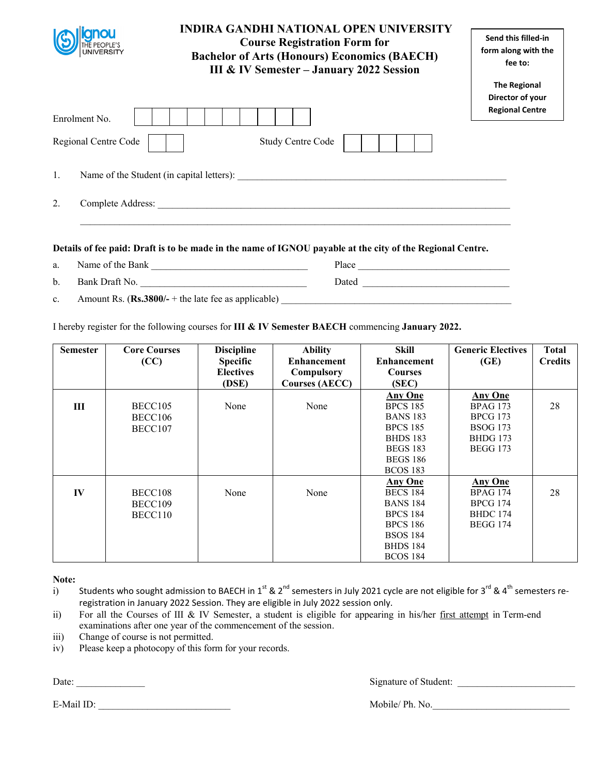|                         | <b>INDIRA GANDHI NATIONAL OPEN UNIVERSITY</b><br><b>Course Registration Form for</b><br><b>Bachelor of Arts (Honours) Economics (BAECH)</b><br><b>III &amp; IV Semester - January 2022 Session</b> | Send this filled-in<br>form along with the<br>fee to:             |
|-------------------------|----------------------------------------------------------------------------------------------------------------------------------------------------------------------------------------------------|-------------------------------------------------------------------|
| Enrolment No.           |                                                                                                                                                                                                    | <b>The Regional</b><br>Director of your<br><b>Regional Centre</b> |
| Regional Centre Code    | <b>Study Centre Code</b>                                                                                                                                                                           |                                                                   |
| 1.                      | Name of the Student (in capital letters):                                                                                                                                                          |                                                                   |
| 2.<br>Complete Address: | <u> 1989 - Johann Harry Harry Harry Harry Harry Harry Harry Harry Harry Harry Harry Harry Harry Harry Harry Harry</u>                                                                              |                                                                   |
|                         | .<br>$\overline{a}$                                                                                                                                                                                |                                                                   |

- a. Name of the Bank \_\_\_\_\_\_\_\_\_\_\_\_\_\_\_\_\_\_\_\_\_\_\_\_\_\_\_\_\_\_\_\_ Place \_\_\_\_\_\_\_\_\_\_\_\_\_\_\_\_\_\_\_\_\_\_\_\_\_\_\_\_\_\_\_ b. Bank Draft No. \_\_\_\_\_\_\_\_\_\_\_\_\_\_\_\_\_\_\_\_\_\_\_\_\_\_\_\_\_\_\_\_\_\_ Dated \_\_\_\_\_\_\_\_\_\_\_\_\_\_\_\_\_\_\_\_\_\_\_\_\_\_\_\_\_\_
- c. Amount Rs. (**Rs.3800/-** + the late fee as applicable)

I hereby register for the following courses for **III & IV Semester BAECH** commencing **January 2022.** 

| <b>Semester</b> | <b>Core Courses</b> | <b>Discipline</b> | <b>Ability</b>        | Skill              | <b>Generic Electives</b> | <b>Total</b>   |
|-----------------|---------------------|-------------------|-----------------------|--------------------|--------------------------|----------------|
|                 | (CC)                | <b>Specific</b>   | <b>Enhancement</b>    | <b>Enhancement</b> | (GE)                     | <b>Credits</b> |
|                 |                     | <b>Electives</b>  | Compulsory            | <b>Courses</b>     |                          |                |
|                 |                     | (DSE)             | <b>Courses (AECC)</b> | (SEC)              |                          |                |
|                 |                     |                   |                       | <b>Any One</b>     | <b>Any One</b>           |                |
| Ш               | BECC105             | None              | None                  | <b>BPCS 185</b>    | <b>BPAG 173</b>          | 28             |
|                 | BECC106             |                   |                       | <b>BANS 183</b>    | <b>BPCG 173</b>          |                |
|                 | BECC107             |                   |                       | <b>BPCS 185</b>    | <b>BSOG 173</b>          |                |
|                 |                     |                   |                       | <b>BHDS 183</b>    | <b>BHDG</b> 173          |                |
|                 |                     |                   |                       | <b>BEGS 183</b>    | <b>BEGG 173</b>          |                |
|                 |                     |                   |                       | <b>BEGS 186</b>    |                          |                |
|                 |                     |                   |                       | <b>BCOS 183</b>    |                          |                |
|                 |                     |                   |                       | <b>Any One</b>     | <b>Any One</b>           |                |
| $\bf{IV}$       | BECC108             | None              | None                  | <b>BECS 184</b>    | <b>BPAG 174</b>          | 28             |
|                 | BECC109             |                   |                       | <b>BANS 184</b>    | <b>BPCG 174</b>          |                |
|                 | BECC110             |                   |                       | <b>BPCS 184</b>    | <b>BHDC</b> 174          |                |
|                 |                     |                   |                       | <b>BPCS 186</b>    | <b>BEGG 174</b>          |                |
|                 |                     |                   |                       | <b>BSOS 184</b>    |                          |                |
|                 |                     |                   |                       | <b>BHDS 184</b>    |                          |                |
|                 |                     |                   |                       | <b>BCOS 184</b>    |                          |                |

**Note:** 

- i) Students who sought admission to BAECH in 1<sup>st</sup> & 2<sup>nd</sup> semesters in July 2021 cycle are not eligible for 3<sup>rd</sup> & 4<sup>th</sup> semesters reregistration in January 2022 Session. They are eligible in July 2022 session only.
- ii) For all the Courses of III & IV Semester, a student is eligible for appearing in his/her first attempt in Term-end examinations after one year of the commencement of the session.
- iii) Change of course is not permitted.
- iv) Please keep a photocopy of this form for your records.

Date: \_\_\_\_\_\_\_\_\_\_\_\_\_\_ Signature of Student: \_\_\_\_\_\_\_\_\_\_\_\_\_\_\_\_\_\_\_\_\_\_\_\_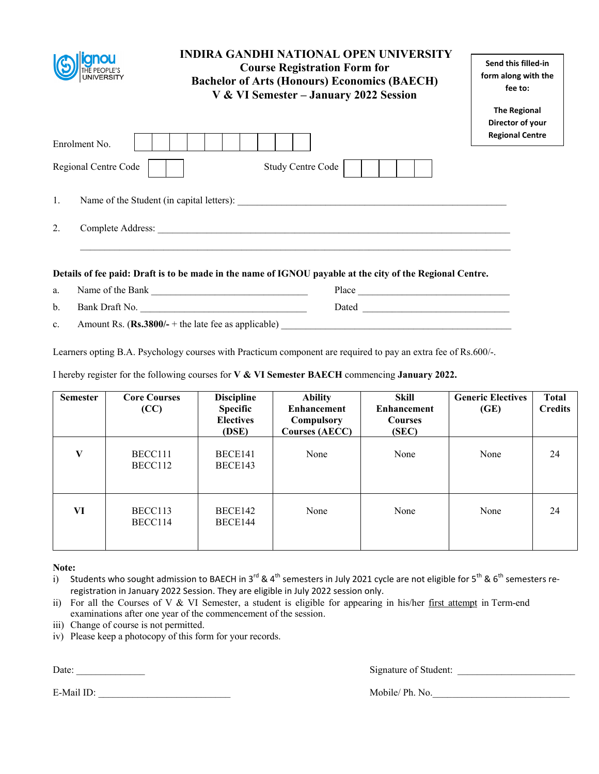|                                       | <b>INDIRA GANDHI NATIONAL OPEN UNIVERSITY</b><br><b>Course Registration Form for</b><br><b>Bachelor of Arts (Honours) Economics (BAECH)</b><br>V & VI Semester - January 2022 Session | Send this filled-in<br>form along with the<br>fee to:<br><b>The Regional</b> |
|---------------------------------------|---------------------------------------------------------------------------------------------------------------------------------------------------------------------------------------|------------------------------------------------------------------------------|
| Enrolment No.<br>Regional Centre Code | Study Centre Code                                                                                                                                                                     | Director of your<br><b>Regional Centre</b>                                   |
| 1.                                    | Name of the Student (in capital letters):                                                                                                                                             |                                                                              |
| 2.                                    |                                                                                                                                                                                       |                                                                              |
|                                       | Details of fee paid: Draft is to be made in the name of IGNOU payable at the city of the Regional Centre.                                                                             |                                                                              |
| Name of the Bank<br>a.                | Place                                                                                                                                                                                 |                                                                              |

b. Bank Draft No. 2008 and Draft No. 2018 and Dated 2008 and Dated 2008 and Dated 2008 and Dated 2008 and Dated 2008 and Dated 2008 and Dated 2008 and Dated 2008 and Dated 2008 and Dated 2008 and Dated 2008 and Dated 2008

c. Amount Rs.  $(\mathbf{Rs.3800}/\text{-} + \text{the late fee as applicable})$ 

Learners opting B.A. Psychology courses with Practicum component are required to pay an extra fee of Rs.600/-.

I hereby register for the following courses for **V & VI Semester BAECH** commencing **January 2022.** 

| <b>Semester</b> | <b>Core Courses</b><br>(CC) | <b>Discipline</b><br>Specific<br><b>Electives</b><br>(DSE) | <b>Ability</b><br><b>Enhancement</b><br>Compulsory<br><b>Courses (AECC)</b> | Skill<br><b>Enhancement</b><br><b>Courses</b><br>(SEC) | <b>Generic Electives</b><br>(GE) | <b>Total</b><br><b>Credits</b> |
|-----------------|-----------------------------|------------------------------------------------------------|-----------------------------------------------------------------------------|--------------------------------------------------------|----------------------------------|--------------------------------|
| V               | BECC111<br>BECC112          | BECE141<br>BECE143                                         | None                                                                        | None                                                   | None                             | 24                             |
| VI              | BECC113<br>BECC114          | BECE142<br>BECE144                                         | None                                                                        | None                                                   | None                             | 24                             |

**Note:** 

- i) Students who sought admission to BAECH in 3<sup>rd</sup> & 4<sup>th</sup> semesters in July 2021 cycle are not eligible for 5<sup>th</sup> & 6<sup>th</sup> semesters reregistration in January 2022 Session. They are eligible in July 2022 session only.
- ii) For all the Courses of V & VI Semester, a student is eligible for appearing in his/her first attempt in Term-end examinations after one year of the commencement of the session.
- iii) Change of course is not permitted.
- iv) Please keep a photocopy of this form for your records.

Date: \_\_\_\_\_\_\_\_\_\_\_\_\_\_ Signature of Student: \_\_\_\_\_\_\_\_\_\_\_\_\_\_\_\_\_\_\_\_\_\_\_\_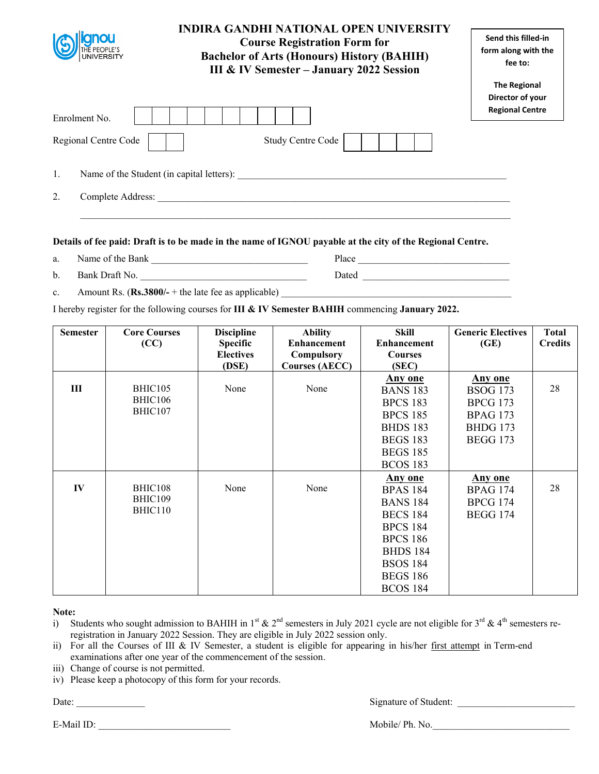|                         | <b>INDIRA GANDHI NATIONAL OPEN UNIVERSITY</b><br><b>Course Registration Form for</b><br><b>Bachelor of Arts (Honours) History (BAHIH)</b><br><b>III &amp; IV Semester - January 2022 Session</b> | Send this filled-in<br>form along with the<br>fee to:             |
|-------------------------|--------------------------------------------------------------------------------------------------------------------------------------------------------------------------------------------------|-------------------------------------------------------------------|
| Enrolment No.           |                                                                                                                                                                                                  | <b>The Regional</b><br>Director of your<br><b>Regional Centre</b> |
| Regional Centre Code    | <b>Study Centre Code</b>                                                                                                                                                                         |                                                                   |
| 1.                      | Name of the Student (in capital letters):                                                                                                                                                        |                                                                   |
| 2.<br>Complete Address: |                                                                                                                                                                                                  |                                                                   |

- a. Name of the Bank **Department** Place
- b. Bank Draft No. \_\_\_\_\_\_\_\_\_\_\_\_\_\_\_\_\_\_\_\_\_\_\_\_\_\_\_\_\_\_\_\_\_\_ Dated \_\_\_\_\_\_\_\_\_\_\_\_\_\_\_\_\_\_\_\_\_\_\_\_\_\_\_\_\_\_
- c. Amount Rs.  $(\mathbf{Rs.3800}/ \text{-} + \text{the late fee as applicable})$

I hereby register for the following courses for **III & IV Semester BAHIH** commencing **January 2022.** 

| <b>Semester</b> | <b>Core Courses</b> | <b>Discipline</b> | <b>Ability</b>        | Skill              | <b>Generic Electives</b> | <b>Total</b>   |
|-----------------|---------------------|-------------------|-----------------------|--------------------|--------------------------|----------------|
|                 | (CC)                | <b>Specific</b>   | <b>Enhancement</b>    | <b>Enhancement</b> | (GE)                     | <b>Credits</b> |
|                 |                     | <b>Electives</b>  | Compulsory            | <b>Courses</b>     |                          |                |
|                 |                     | (DSE)             | <b>Courses (AECC)</b> | (SEC)              |                          |                |
|                 |                     |                   |                       | <b>Any one</b>     | <b>Any one</b>           |                |
| Ш               | BHIC105             | None              | None                  | <b>BANS 183</b>    | <b>BSOG 173</b>          | 28             |
|                 | BHIC106             |                   |                       | <b>BPCS 183</b>    | <b>BPCG 173</b>          |                |
|                 | BHIC107             |                   |                       | <b>BPCS 185</b>    | <b>BPAG 173</b>          |                |
|                 |                     |                   |                       | <b>BHDS 183</b>    | <b>BHDG 173</b>          |                |
|                 |                     |                   |                       | <b>BEGS 183</b>    | <b>BEGG 173</b>          |                |
|                 |                     |                   |                       | <b>BEGS 185</b>    |                          |                |
|                 |                     |                   |                       | <b>BCOS 183</b>    |                          |                |
|                 |                     |                   |                       | <b>Any one</b>     | <b>Any one</b>           |                |
| IV              | BHIC108             | None              | None                  | <b>BPAS 184</b>    | <b>BPAG 174</b>          | 28             |
|                 | BHIC109             |                   |                       | <b>BANS 184</b>    | <b>BPCG 174</b>          |                |
|                 | BHIC110             |                   |                       | <b>BECS 184</b>    | <b>BEGG 174</b>          |                |
|                 |                     |                   |                       | <b>BPCS 184</b>    |                          |                |
|                 |                     |                   |                       | <b>BPCS 186</b>    |                          |                |
|                 |                     |                   |                       | <b>BHDS 184</b>    |                          |                |
|                 |                     |                   |                       | <b>BSOS 184</b>    |                          |                |
|                 |                     |                   |                       | <b>BEGS 186</b>    |                          |                |
|                 |                     |                   |                       | <b>BCOS 184</b>    |                          |                |

**Note:** 

- i) Students who sought admission to BAHIH in 1<sup>st</sup> & 2<sup>nd</sup> semesters in July 2021 cycle are not eligible for 3<sup>rd</sup> & 4<sup>th</sup> semesters reregistration in January 2022 Session. They are eligible in July 2022 session only.
- ii) For all the Courses of III & IV Semester, a student is eligible for appearing in his/her first attempt in Term-end examinations after one year of the commencement of the session.
- iii) Change of course is not permitted.
- iv) Please keep a photocopy of this form for your records.

Date: Signature of Student: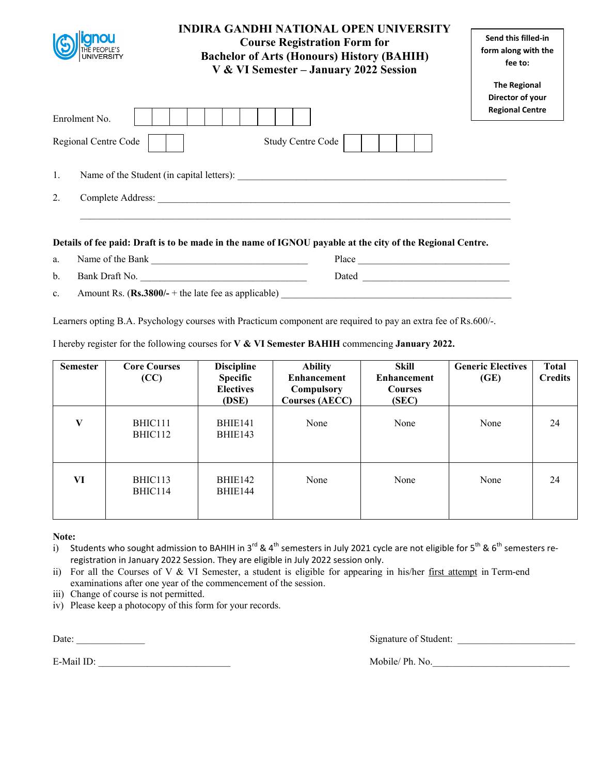|                                                 | <b>INDIRA GANDHI NATIONAL OPEN UNIVERSITY</b><br><b>Course Registration Form for</b><br><b>Bachelor of Arts (Honours) History (BAHIH)</b><br>V & VI Semester - January 2022 Session | Send this filled-in<br>form along with the<br>fee to:             |
|-------------------------------------------------|-------------------------------------------------------------------------------------------------------------------------------------------------------------------------------------|-------------------------------------------------------------------|
|                                                 |                                                                                                                                                                                     | <b>The Regional</b><br>Director of your<br><b>Regional Centre</b> |
| Enrolment No.                                   |                                                                                                                                                                                     |                                                                   |
| Regional Centre Code                            | <b>Study Centre Code</b>                                                                                                                                                            |                                                                   |
| Name of the Student (in capital letters):<br>1. |                                                                                                                                                                                     |                                                                   |
| 2.<br>Complete Address:                         |                                                                                                                                                                                     |                                                                   |
|                                                 |                                                                                                                                                                                     |                                                                   |

a. Name of the Bank \_\_\_\_\_\_\_\_\_\_\_\_\_\_\_\_\_\_\_\_\_\_\_\_\_\_\_\_\_\_\_\_ Place \_\_\_\_\_\_\_\_\_\_\_\_\_\_\_\_\_\_\_\_\_\_\_\_\_\_\_\_\_\_\_ b. Bank Draft No. 2008 and Draft No. 2018 and Dated 2018 and Dated 2018 and Dated 2018 and Dated 2018 and Dated 2018 and Dated 2018 and Dated 2018 and Dated 2018 and Dated 2018 and Dated 2018 and Dated 2018 and Dated 2018 c. Amount Rs.  $(Rs.3800/- +$  the late fee as applicable)

Learners opting B.A. Psychology courses with Practicum component are required to pay an extra fee of Rs.600/-.

I hereby register for the following courses for **V & VI Semester BAHIH** commencing **January 2022.** 

| <b>Semester</b> | <b>Core Courses</b><br>(CC) | <b>Discipline</b><br><b>Specific</b><br><b>Electives</b><br>(DSE) | <b>Ability</b><br><b>Enhancement</b><br><b>Compulsory</b><br><b>Courses (AECC)</b> | Skill<br><b>Enhancement</b><br><b>Courses</b><br>(SEC) | <b>Generic Electives</b><br>(GE) | <b>Total</b><br><b>Credits</b> |
|-----------------|-----------------------------|-------------------------------------------------------------------|------------------------------------------------------------------------------------|--------------------------------------------------------|----------------------------------|--------------------------------|
| V               | BHIC111<br>BHIC112          | BHIE141<br>BHIE143                                                | None                                                                               | None                                                   | None                             | 24                             |
| VI              | BHIC113<br>BHIC114          | BHIE142<br>BHIE144                                                | None                                                                               | None                                                   | None                             | 24                             |

#### **Note:**

- i) Students who sought admission to BAHIH in 3<sup>rd</sup> & 4<sup>th</sup> semesters in July 2021 cycle are not eligible for 5<sup>th</sup> & 6<sup>th</sup> semesters reregistration in January 2022 Session. They are eligible in July 2022 session only.
- ii) For all the Courses of V & VI Semester, a student is eligible for appearing in his/her first attempt in Term-end examinations after one year of the commencement of the session.
- iii) Change of course is not permitted.
- iv) Please keep a photocopy of this form for your records.

Date: Signature of Student:

E-Mail ID: Nobile/ Ph. No.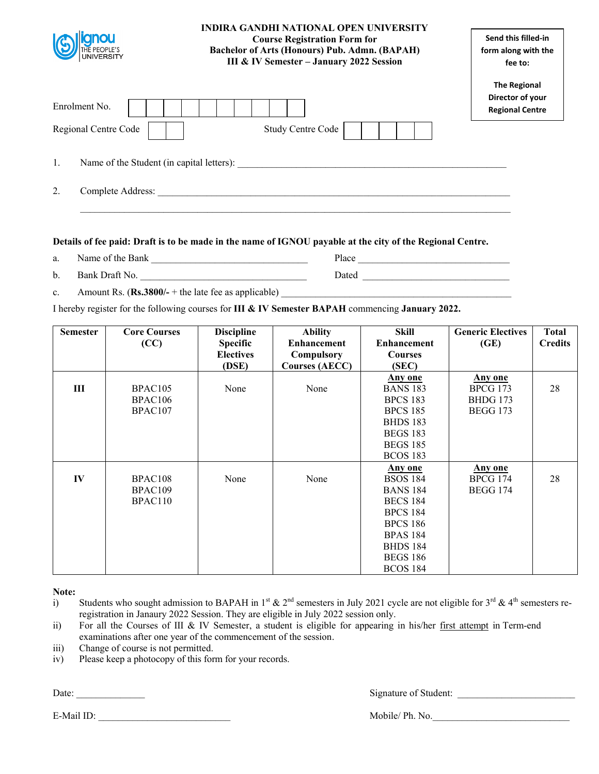| gnou<br>THE PEOPLE'S<br>UNIVERSITY    | <b>INDIRA GANDHI NATIONAL OPEN UNIVERSITY</b><br><b>Course Registration Form for</b><br><b>Bachelor of Arts (Honours) Pub. Admn. (BAPAH)</b><br>III & IV Semester - January 2022 Session | Send this filled-in<br>form along with the<br>fee to:             |
|---------------------------------------|------------------------------------------------------------------------------------------------------------------------------------------------------------------------------------------|-------------------------------------------------------------------|
| Enrolment No.<br>Regional Centre Code | Study Centre Code                                                                                                                                                                        | <b>The Regional</b><br>Director of your<br><b>Regional Centre</b> |
| 1.                                    | Name of the Student (in capital letters):                                                                                                                                                |                                                                   |
| 2.<br>Complete Address:               |                                                                                                                                                                                          |                                                                   |

- a. Name of the Bank **Departual** Place **Place**
- b. Bank Draft No. \_\_\_\_\_\_\_\_\_\_\_\_\_\_\_\_\_\_\_\_\_\_\_\_\_\_\_\_\_\_\_\_\_\_ Dated \_\_\_\_\_\_\_\_\_\_\_\_\_\_\_\_\_\_\_\_\_\_\_\_\_\_\_\_\_\_
- c. Amount Rs. (**Rs.3800/** + the late fee as applicable)

I hereby register for the following courses for **III & IV Semester BAPAH** commencing **January 2022.** 

| <b>Semester</b> | <b>Core Courses</b><br>(CC) | <b>Discipline</b><br><b>Specific</b><br><b>Electives</b><br>(DSE) | <b>Ability</b><br><b>Enhancement</b><br>Compulsory<br><b>Courses (AECC)</b> | Skill<br><b>Enhancement</b><br><b>Courses</b><br>(SEC) | <b>Generic Electives</b><br>(GE) | <b>Total</b><br><b>Credits</b> |
|-----------------|-----------------------------|-------------------------------------------------------------------|-----------------------------------------------------------------------------|--------------------------------------------------------|----------------------------------|--------------------------------|
|                 |                             |                                                                   |                                                                             | <b>Any one</b>                                         | Any one                          |                                |
| III             | BPAC <sub>105</sub>         | None                                                              | None                                                                        | <b>BANS 183</b>                                        | <b>BPCG 173</b>                  | 28                             |
|                 | BPAC <sub>106</sub>         |                                                                   |                                                                             | <b>BPCS 183</b>                                        | <b>BHDG 173</b>                  |                                |
|                 | BPAC107                     |                                                                   |                                                                             | <b>BPCS 185</b>                                        | <b>BEGG 173</b>                  |                                |
|                 |                             |                                                                   |                                                                             | <b>BHDS 183</b>                                        |                                  |                                |
|                 |                             |                                                                   |                                                                             | <b>BEGS 183</b>                                        |                                  |                                |
|                 |                             |                                                                   |                                                                             | <b>BEGS 185</b>                                        |                                  |                                |
|                 |                             |                                                                   |                                                                             | <b>BCOS 183</b>                                        |                                  |                                |
|                 |                             |                                                                   |                                                                             | Any one                                                | <b>Any one</b>                   |                                |
| IV              | BPAC108                     | None                                                              | None                                                                        | <b>BSOS 184</b>                                        | <b>BPCG 174</b>                  | 28                             |
|                 | BPAC109                     |                                                                   |                                                                             | <b>BANS 184</b>                                        | <b>BEGG 174</b>                  |                                |
|                 | BPAC110                     |                                                                   |                                                                             | <b>BECS 184</b>                                        |                                  |                                |
|                 |                             |                                                                   |                                                                             | <b>BPCS 184</b>                                        |                                  |                                |
|                 |                             |                                                                   |                                                                             | <b>BPCS 186</b>                                        |                                  |                                |
|                 |                             |                                                                   |                                                                             | <b>BPAS 184</b>                                        |                                  |                                |
|                 |                             |                                                                   |                                                                             | <b>BHDS 184</b>                                        |                                  |                                |
|                 |                             |                                                                   |                                                                             | <b>BEGS 186</b>                                        |                                  |                                |
|                 |                             |                                                                   |                                                                             | <b>BCOS 184</b>                                        |                                  |                                |

**Note:** 

- i) Students who sought admission to BAPAH in 1<sup>st</sup> & 2<sup>nd</sup> semesters in July 2021 cycle are not eligible for 3<sup>rd</sup> & 4<sup>th</sup> semesters reregistration in Janaury 2022 Session. They are eligible in July 2022 session only.
- ii) For all the Courses of III & IV Semester, a student is eligible for appearing in his/her first attempt in Term-end examinations after one year of the commencement of the session.
- iii) Change of course is not permitted.
- iv) Please keep a photocopy of this form for your records.

Date: \_\_\_\_\_\_\_\_\_\_\_\_\_\_ Signature of Student: \_\_\_\_\_\_\_\_\_\_\_\_\_\_\_\_\_\_\_\_\_\_\_\_

E-Mail ID: Nobile/ Ph. No.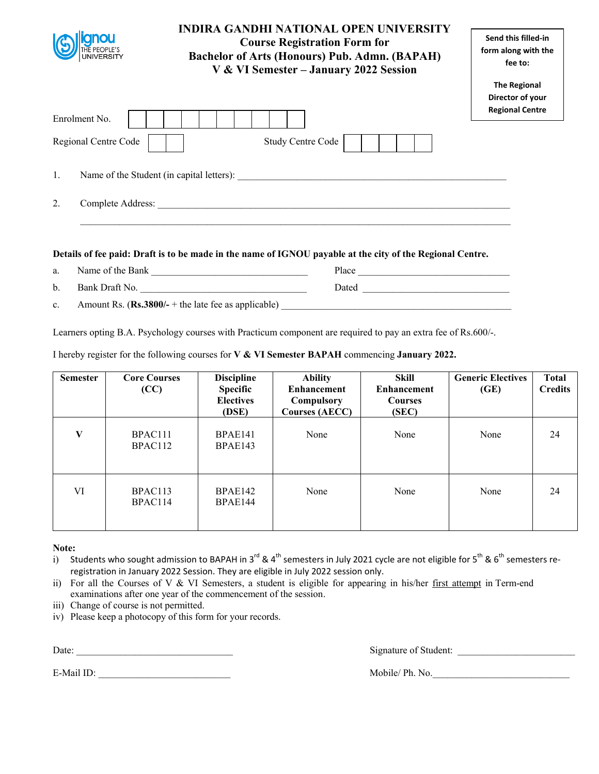|                      | <b>INDIRA GANDHI NATIONAL OPEN UNIVERSITY</b><br><b>Course Registration Form for</b><br><b>Bachelor of Arts (Honours) Pub. Admn. (BAPAH)</b><br>V & VI Semester - January 2022 Session | Send this filled-in<br>form along with the<br>fee to:             |
|----------------------|----------------------------------------------------------------------------------------------------------------------------------------------------------------------------------------|-------------------------------------------------------------------|
| Enrolment No.        |                                                                                                                                                                                        | <b>The Regional</b><br>Director of your<br><b>Regional Centre</b> |
| Regional Centre Code | Study Centre Code                                                                                                                                                                      |                                                                   |
| 1.                   | Name of the Student (in capital letters):                                                                                                                                              |                                                                   |
| 2.                   |                                                                                                                                                                                        |                                                                   |
|                      |                                                                                                                                                                                        |                                                                   |

a. Name of the Bank \_\_\_\_\_\_\_\_\_\_\_\_\_\_\_\_\_\_\_\_\_\_\_\_\_\_\_\_\_\_\_\_ Place \_\_\_\_\_\_\_\_\_\_\_\_\_\_\_\_\_\_\_\_\_\_\_\_\_\_\_\_\_\_\_ b. Bank Draft No. 2008 and Draft No. 2018 and Dated 2018 and Dated 2018 and Dated 2018 and Dated 2018 and Dated 2018 and Dated 2018 and Dated 2018 and Dated 2018 and Dated 2018 and Dated 2018 and Dated 2018 and Dated 2018

c. Amount Rs. (**Rs.3800/-** + the late fee as applicable)

Learners opting B.A. Psychology courses with Practicum component are required to pay an extra fee of Rs.600/-.

I hereby register for the following courses for **V & VI Semester BAPAH** commencing **January 2022.** 

| <b>Semester</b> | <b>Core Courses</b><br>(CC) | <b>Discipline</b><br><b>Specific</b><br><b>Electives</b><br>(DSE) | <b>Ability</b><br><b>Enhancement</b><br>Compulsory<br><b>Courses (AECC)</b> | Skill<br><b>Enhancement</b><br><b>Courses</b><br>(SEC) | <b>Generic Electives</b><br>(GE) | <b>Total</b><br><b>Credits</b> |
|-----------------|-----------------------------|-------------------------------------------------------------------|-----------------------------------------------------------------------------|--------------------------------------------------------|----------------------------------|--------------------------------|
| V               | BPAC111<br>BPAC112          | BPAE141<br>BPAE143                                                | None                                                                        | None                                                   | None                             | 24                             |
| VI              | BPAC113<br>BPAC114          | BPAE142<br>BPAE144                                                | None                                                                        | None                                                   | None                             | 24                             |

**Note:** 

i) Students who sought admission to BAPAH in 3<sup>rd</sup> & 4<sup>th</sup> semesters in July 2021 cycle are not eligible for 5<sup>th</sup> & 6<sup>th</sup> semesters reregistration in January 2022 Session. They are eligible in July 2022 session only.

ii) For all the Courses of V & VI Semesters, a student is eligible for appearing in his/her first attempt in Term-end examinations after one year of the commencement of the session.

- iii) Change of course is not permitted.
- iv) Please keep a photocopy of this form for your records.

Date: Signature of Student: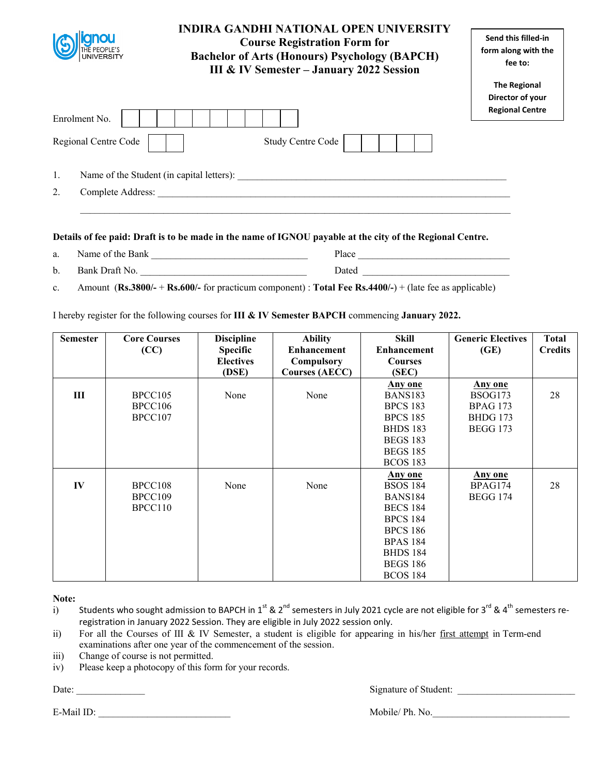| <b>UNIVERSITY</b>       | <b>INDIRA GANDHI NATIONAL OPEN UNIVERSITY</b><br><b>Course Registration Form for</b><br><b>Bachelor of Arts (Honours) Psychology (BAPCH)</b><br><b>III &amp; IV Semester - January 2022 Session</b> | Send this filled-in<br>form along with the<br>fee to:             |
|-------------------------|-----------------------------------------------------------------------------------------------------------------------------------------------------------------------------------------------------|-------------------------------------------------------------------|
| Enrolment No.           |                                                                                                                                                                                                     | <b>The Regional</b><br>Director of your<br><b>Regional Centre</b> |
| Regional Centre Code    | <b>Study Centre Code</b>                                                                                                                                                                            |                                                                   |
| 1.                      | Name of the Student (in capital letters):                                                                                                                                                           |                                                                   |
| 2.<br>Complete Address: |                                                                                                                                                                                                     |                                                                   |
|                         |                                                                                                                                                                                                     |                                                                   |

| a. | Name of the Bank | Place                      |
|----|------------------|----------------------------|
| b. | Bank Draft No.   | $\mathsf{Date}_\mathsf{u}$ |

c. Amount (**Rs.3800/-** + **Rs.600/-** for practicum component) : **Total Fee Rs.4400/-**) + (late fee as applicable)

I hereby register for the following courses for **III & IV Semester BAPCH** commencing **January 2022.** 

| <b>Semester</b> | <b>Core Courses</b> | <b>Discipline</b> | <b>Ability</b>        | <b>Skill</b>       | <b>Generic Electives</b> | <b>Total</b>   |
|-----------------|---------------------|-------------------|-----------------------|--------------------|--------------------------|----------------|
|                 | (CC)                | <b>Specific</b>   | <b>Enhancement</b>    | <b>Enhancement</b> | (GE)                     | <b>Credits</b> |
|                 |                     | <b>Electives</b>  | Compulsory            | <b>Courses</b>     |                          |                |
|                 |                     | (DSE)             | <b>Courses (AECC)</b> | (SEC)              |                          |                |
|                 |                     |                   |                       | Any one            | Any one                  |                |
| Ш               | BPCC105             | None              | None                  | <b>BANS183</b>     | BSOG173                  | 28             |
|                 | BPCC106             |                   |                       | <b>BPCS 183</b>    | <b>BPAG 173</b>          |                |
|                 | BPCC <sub>107</sub> |                   |                       | <b>BPCS 185</b>    | <b>BHDG 173</b>          |                |
|                 |                     |                   |                       | <b>BHDS 183</b>    | <b>BEGG 173</b>          |                |
|                 |                     |                   |                       | <b>BEGS 183</b>    |                          |                |
|                 |                     |                   |                       | <b>BEGS 185</b>    |                          |                |
|                 |                     |                   |                       | <b>BCOS 183</b>    |                          |                |
|                 |                     |                   |                       | <b>Any one</b>     | <b>Any one</b>           |                |
| IV              | BPCC108             | None              | None                  | <b>BSOS 184</b>    | BPAG174                  | 28             |
|                 | BPCC109             |                   |                       | <b>BANS184</b>     | <b>BEGG 174</b>          |                |
|                 | BPCC110             |                   |                       | <b>BECS 184</b>    |                          |                |
|                 |                     |                   |                       | <b>BPCS 184</b>    |                          |                |
|                 |                     |                   |                       | <b>BPCS 186</b>    |                          |                |
|                 |                     |                   |                       | <b>BPAS 184</b>    |                          |                |
|                 |                     |                   |                       | <b>BHDS 184</b>    |                          |                |
|                 |                     |                   |                       | <b>BEGS 186</b>    |                          |                |
|                 |                     |                   |                       | <b>BCOS 184</b>    |                          |                |

**Note:** 

| Students who sought admission to BAPCH in 1 <sup>st</sup> & 2 <sup>nd</sup> semesters in July 2021 cycle are not eligible for 3 <sup>rd</sup> & 4 <sup>th</sup> semesters re- |
|-------------------------------------------------------------------------------------------------------------------------------------------------------------------------------|
| registration in January 2022 Session. They are eligible in July 2022 session only.                                                                                            |

- ii) For all the Courses of III & IV Semester, a student is eligible for appearing in his/her first attempt in Term-end examinations after one year of the commencement of the session.
- iii) Change of course is not permitted.
- iv) Please keep a photocopy of this form for your records.

Date: \_\_\_\_\_\_\_\_\_\_\_\_\_\_ Signature of Student: \_\_\_\_\_\_\_\_\_\_\_\_\_\_\_\_\_\_\_\_\_\_\_\_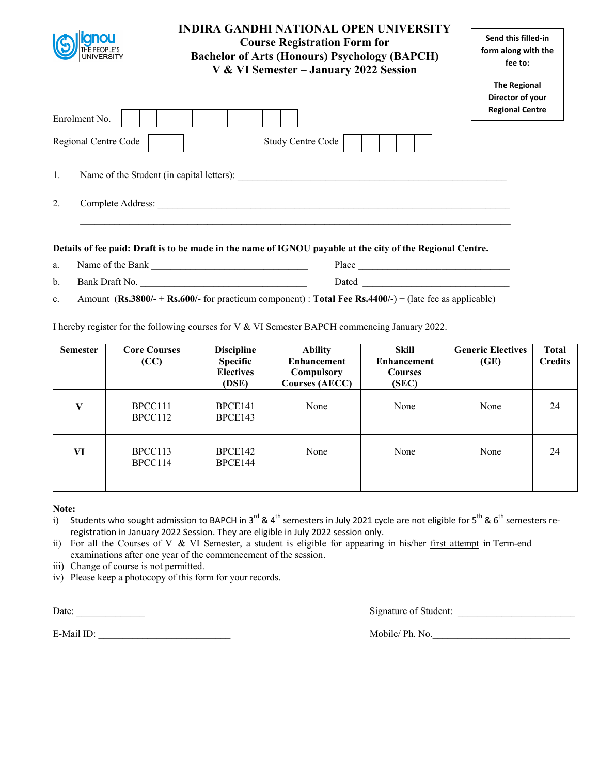|                | <b>INDIRA GANDHI NATIONAL OPEN UNIVERSITY</b><br><b>Course Registration Form for</b><br><b>Bachelor of Arts (Honours) Psychology (BAPCH)</b><br>V & VI Semester - January 2022 Session | Send this filled-in<br>form along with the<br>fee to:             |
|----------------|----------------------------------------------------------------------------------------------------------------------------------------------------------------------------------------|-------------------------------------------------------------------|
| Enrolment No.  |                                                                                                                                                                                        | <b>The Regional</b><br>Director of your<br><b>Regional Centre</b> |
|                | <b>Study Centre Code</b><br>Regional Centre Code                                                                                                                                       |                                                                   |
| $\mathbf{1}$ . | Name of the Student (in capital letters):                                                                                                                                              |                                                                   |
| 2.             | Complete Address:                                                                                                                                                                      |                                                                   |

a. Name of the Bank \_\_\_\_\_\_\_\_\_\_\_\_\_\_\_\_\_\_\_\_\_\_\_\_\_\_\_\_\_\_\_\_ Place \_\_\_\_\_\_\_\_\_\_\_\_\_\_\_\_\_\_\_\_\_\_\_\_\_\_\_\_\_\_\_ b. Bank Draft No. \_\_\_\_\_\_\_\_\_\_\_\_\_\_\_\_\_\_\_\_\_\_\_\_\_\_\_\_\_\_\_\_\_\_ Dated \_\_\_\_\_\_\_\_\_\_\_\_\_\_\_\_\_\_\_\_\_\_\_\_\_\_\_\_\_\_

c. Amount (**Rs.3800/-** + **Rs.600/-** for practicum component) : **Total Fee Rs.4400/-**) + (late fee as applicable)

I hereby register for the following courses for V & VI Semester BAPCH commencing January 2022.

| <b>Semester</b> | <b>Core Courses</b><br>(CC) | <b>Discipline</b><br><b>Specific</b><br><b>Electives</b><br>(DSE) | <b>Ability</b><br><b>Enhancement</b><br>Compulsory<br><b>Courses (AECC)</b> | Skill<br><b>Enhancement</b><br><b>Courses</b><br>(SEC) | <b>Generic Electives</b><br>(GE) | <b>Total</b><br><b>Credits</b> |
|-----------------|-----------------------------|-------------------------------------------------------------------|-----------------------------------------------------------------------------|--------------------------------------------------------|----------------------------------|--------------------------------|
| V               | BPCC111<br>BPCC112          | BPCE141<br>BPCE143                                                | None                                                                        | None                                                   | None                             | 24                             |
| VI              | BPCC113<br>BPCC114          | BPCE142<br>BPCE144                                                | None                                                                        | None                                                   | None                             | 24                             |

#### **Note:**

i) Students who sought admission to BAPCH in 3<sup>rd</sup> & 4<sup>th</sup> semesters in July 2021 cycle are not eligible for 5<sup>th</sup> & 6<sup>th</sup> semesters reregistration in January 2022 Session. They are eligible in July 2022 session only.

ii) For all the Courses of V & VI Semester, a student is eligible for appearing in his/her first attempt in Term-end examinations after one year of the commencement of the session.

iii) Change of course is not permitted.

iv) Please keep a photocopy of this form for your records.

Date: \_\_\_\_\_\_\_\_\_\_\_\_\_\_ Signature of Student: \_\_\_\_\_\_\_\_\_\_\_\_\_\_\_\_\_\_\_\_\_\_\_\_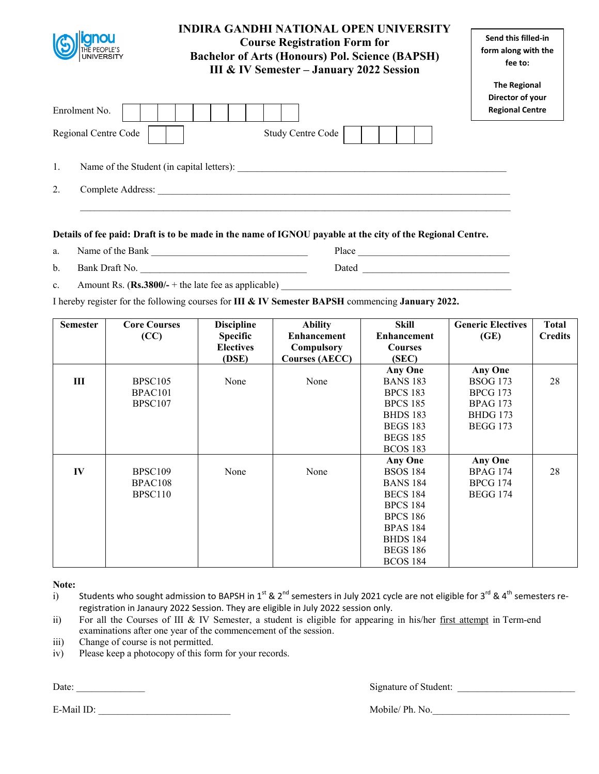|                                                 | <b>INDIRA GANDHI NATIONAL OPEN UNIVERSITY</b><br><b>Course Registration Form for</b><br><b>Bachelor of Arts (Honours) Pol. Science (BAPSH)</b><br>III & IV Semester - January 2022 Session | Send this filled-in<br>form along with the<br>fee to:             |
|-------------------------------------------------|--------------------------------------------------------------------------------------------------------------------------------------------------------------------------------------------|-------------------------------------------------------------------|
| Enrolment No.                                   |                                                                                                                                                                                            | <b>The Regional</b><br>Director of your<br><b>Regional Centre</b> |
| Regional Centre Code                            | Study Centre Code                                                                                                                                                                          |                                                                   |
| 1.<br>Name of the Student (in capital letters): |                                                                                                                                                                                            |                                                                   |
| 2.<br>Complete Address:                         |                                                                                                                                                                                            |                                                                   |

- a. Name of the Bank \_\_\_\_\_\_\_\_\_\_\_\_\_\_\_\_\_\_\_\_\_\_\_\_\_\_\_\_\_\_\_\_ Place \_\_\_\_\_\_\_\_\_\_\_\_\_\_\_\_\_\_\_\_\_\_\_\_\_\_\_\_\_\_\_
- b. Bank Draft No. \_\_\_\_\_\_\_\_\_\_\_\_\_\_\_\_\_\_\_\_\_\_\_\_\_\_\_\_\_\_\_\_\_\_ Dated \_\_\_\_\_\_\_\_\_\_\_\_\_\_\_\_\_\_\_\_\_\_\_\_\_\_\_\_\_\_
- c. Amount Rs.  $(\text{Rs.3800/-} + \text{the late fee as applicable})$

I hereby register for the following courses for **III & IV Semester BAPSH** commencing **January 2022.** 

| <b>Semester</b> | <b>Core Courses</b><br>(CC)                                       | <b>Discipline</b><br><b>Specific</b><br><b>Electives</b><br>(DSE) | <b>Ability</b><br><b>Enhancement</b><br>Compulsory<br><b>Courses (AECC)</b> | <b>Skill</b><br><b>Enhancement</b><br><b>Courses</b><br>(SEC)                                                                                                                      | <b>Generic Electives</b><br>(GE)                                        | <b>Total</b><br><b>Credits</b> |
|-----------------|-------------------------------------------------------------------|-------------------------------------------------------------------|-----------------------------------------------------------------------------|------------------------------------------------------------------------------------------------------------------------------------------------------------------------------------|-------------------------------------------------------------------------|--------------------------------|
| Ш               | <b>BPSC105</b><br>BPAC <sub>101</sub>                             | None                                                              | None                                                                        | Any One<br><b>BANS 183</b><br><b>BPCS 183</b>                                                                                                                                      | <b>Any One</b><br><b>BSOG 173</b><br><b>BPCG 173</b>                    | 28                             |
|                 | BPSC107                                                           |                                                                   |                                                                             | <b>BPCS 185</b><br><b>BHDS 183</b><br><b>BEGS 183</b><br><b>BEGS 185</b><br><b>BCOS 183</b>                                                                                        | <b>BPAG 173</b><br><b>BHDG</b> 173<br><b>BEGG 173</b>                   |                                |
| IV              | BPSC <sub>109</sub><br>BPAC <sub>108</sub><br>BPSC <sub>110</sub> | None                                                              | None                                                                        | Any One<br><b>BSOS 184</b><br><b>BANS 184</b><br><b>BECS 184</b><br><b>BPCS 184</b><br><b>BPCS 186</b><br><b>BPAS 184</b><br><b>BHDS 184</b><br><b>BEGS 186</b><br><b>BCOS 184</b> | <b>Any One</b><br><b>BPAG 174</b><br><b>BPCG 174</b><br><b>BEGG 174</b> | 28                             |

#### **Note:**

- i) Students who sought admission to BAPSH in 1st & 2<sup>nd</sup> semesters in July 2021 cycle are not eligible for 3<sup>rd</sup> & 4<sup>th</sup> semesters reregistration in Janaury 2022 Session. They are eligible in July 2022 session only.
- ii) For all the Courses of III & IV Semester, a student is eligible for appearing in his/her first attempt in Term-end examinations after one year of the commencement of the session.
- iii) Change of course is not permitted.
- iv) Please keep a photocopy of this form for your records.

Date: \_\_\_\_\_\_\_\_\_\_\_\_\_\_ Signature of Student: \_\_\_\_\_\_\_\_\_\_\_\_\_\_\_\_\_\_\_\_\_\_\_\_

E-Mail ID: The Mobile/ Ph. No.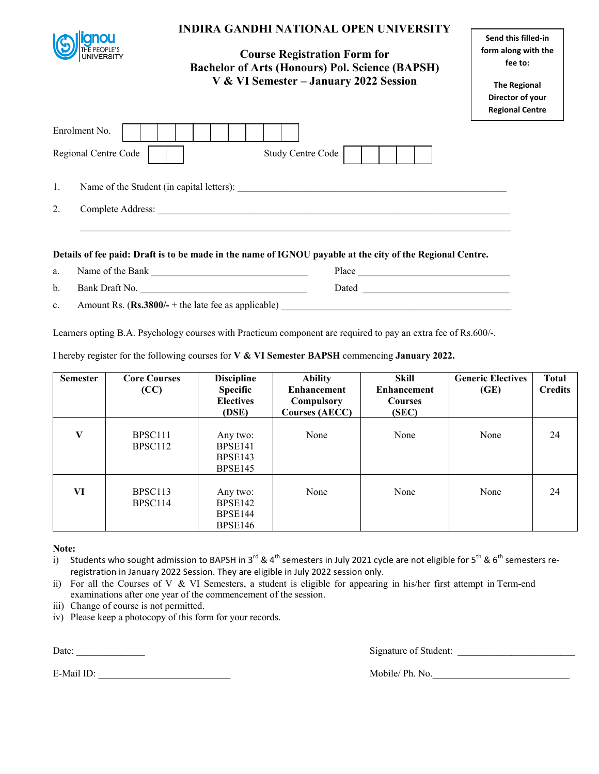|                      |                                                                                                                |                                           | <b>INDIRA GANDHI NATIONAL OPEN UNIVERSITY</b><br><b>Course Registration Form for</b><br><b>Bachelor of Arts (Honours) Pol. Science (BAPSH)</b><br>V & VI Semester - January 2022 Session |                             | Send this filled-in<br>form along with the<br>fee to:<br><b>The Regional</b><br>Director of your<br><b>Regional Centre</b> |                            |
|----------------------|----------------------------------------------------------------------------------------------------------------|-------------------------------------------|------------------------------------------------------------------------------------------------------------------------------------------------------------------------------------------|-----------------------------|----------------------------------------------------------------------------------------------------------------------------|----------------------------|
| Enrolment No.        |                                                                                                                |                                           |                                                                                                                                                                                          |                             |                                                                                                                            |                            |
| Regional Centre Code |                                                                                                                |                                           | Study Centre Code                                                                                                                                                                        |                             |                                                                                                                            |                            |
| 1.<br>2.             | ,我们也不能在这里的时候,我们也不能在这里的时候,我们也不能会在这里的时候,我们也不能会在这里的时候,我们也不能会在这里的时候,我们也不能会在这里的时候,我们也不                              |                                           |                                                                                                                                                                                          |                             |                                                                                                                            |                            |
|                      | Details of fee paid: Draft is to be made in the name of IGNOU payable at the city of the Regional Centre.      |                                           |                                                                                                                                                                                          |                             |                                                                                                                            |                            |
| a.                   |                                                                                                                |                                           |                                                                                                                                                                                          |                             |                                                                                                                            |                            |
| b.                   | Bank Draft No.                                                                                                 |                                           |                                                                                                                                                                                          |                             |                                                                                                                            |                            |
| c.                   |                                                                                                                |                                           |                                                                                                                                                                                          |                             |                                                                                                                            |                            |
|                      | Learners opting B.A. Psychology courses with Practicum component are required to pay an extra fee of Rs.600/-. |                                           |                                                                                                                                                                                          |                             |                                                                                                                            |                            |
|                      | I hereby register for the following courses for V & VI Semester BAPSH commencing January 2022.                 |                                           |                                                                                                                                                                                          |                             |                                                                                                                            |                            |
| <b>Semester</b>      | <b>Core Courses</b><br>$\alpha$                                                                                | <b>Discipline</b><br>$S_{\text{nonifio}}$ | <b>Ability</b><br>$Fn$ <sub>h</sub> and $Fn$                                                                                                                                             | Skill<br><b>Enhancomont</b> | <b>Generic Electives</b><br>(T <sub>F</sub> )                                                                              | <b>Total</b><br>$C$ noditi |

| Semester | <b>Core Courses</b><br>(CC)                | ристрине<br><b>Specific</b><br><b>Electives</b><br>(DSE) | AUIIIV<br><b>Enhancement</b><br>Compulsory<br><b>Courses (AECC)</b> | экш<br><b>Enhancement</b><br><b>Courses</b><br>(SEC) | <b>Generic Electives</b><br>(GE) | 1 otal<br><b>Credits</b> |
|----------|--------------------------------------------|----------------------------------------------------------|---------------------------------------------------------------------|------------------------------------------------------|----------------------------------|--------------------------|
| V        | BPSC <sub>111</sub><br>BPSC <sub>112</sub> | Any two:<br>BPSE141<br>BPSE143<br>BPSE145                | None                                                                | None                                                 | None                             | 24                       |
| VI       | BPSC <sub>113</sub><br>BPSC114             | Any two:<br>BPSE142<br>BPSE144<br>BPSE146                | None                                                                | None                                                 | None                             | 24                       |

**Note:** 

i) Students who sought admission to BAPSH in 3<sup>rd</sup> & 4<sup>th</sup> semesters in July 2021 cycle are not eligible for 5<sup>th</sup> & 6<sup>th</sup> semesters reregistration in January 2022 Session. They are eligible in July 2022 session only.

ii) For all the Courses of V & VI Semesters, a student is eligible for appearing in his/her first attempt in Term-end examinations after one year of the commencement of the session.

iii) Change of course is not permitted.

iv) Please keep a photocopy of this form for your records.

Date: \_\_\_\_\_\_\_\_\_\_\_\_\_\_ Signature of Student: \_\_\_\_\_\_\_\_\_\_\_\_\_\_\_\_\_\_\_\_\_\_\_\_

┑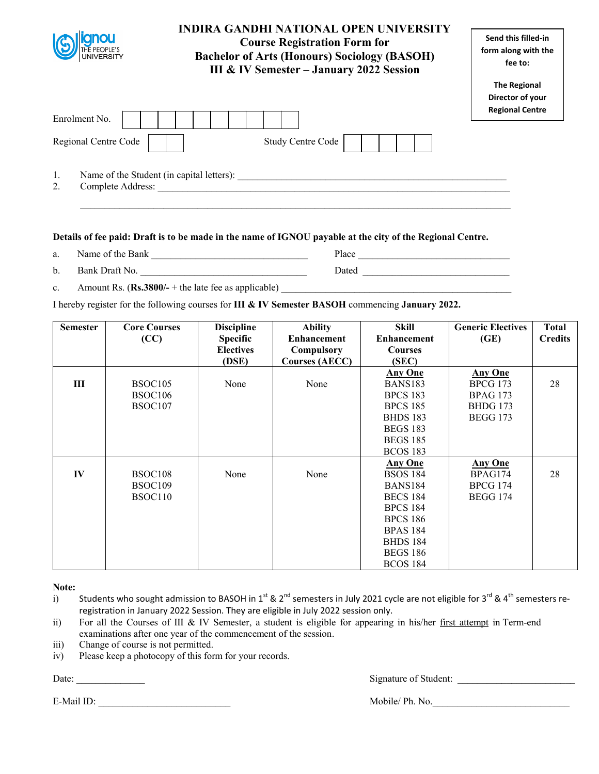| <b>anou</b><br>THE PEOPLE'S<br>UNIVERSITY                                  | <b>INDIRA GANDHI NATIONAL OPEN UNIVERSITY</b><br><b>Course Registration Form for</b><br><b>Bachelor of Arts (Honours) Sociology (BASOH)</b><br>III & IV Semester - January 2022 Session | Send this filled-in<br>form along with the<br>fee to:             |
|----------------------------------------------------------------------------|-----------------------------------------------------------------------------------------------------------------------------------------------------------------------------------------|-------------------------------------------------------------------|
| Enrolment No.<br>Regional Centre Code                                      | <b>Study Centre Code</b>                                                                                                                                                                | <b>The Regional</b><br>Director of your<br><b>Regional Centre</b> |
| 1.<br>Name of the Student (in capital letters):<br>Complete Address:<br>2. |                                                                                                                                                                                         |                                                                   |

- a. Name of the Bank **Department Place Place Place**
- b. Bank Draft No. \_\_\_\_\_\_\_\_\_\_\_\_\_\_\_\_\_\_\_\_\_\_\_\_\_\_\_\_\_\_\_\_\_\_ Dated \_\_\_\_\_\_\_\_\_\_\_\_\_\_\_\_\_\_\_\_\_\_\_\_\_\_\_\_\_\_

c. Amount Rs. (**Rs.3800**/- + the late fee as applicable)

I hereby register for the following courses for **III & IV Semester BASOH** commencing **January 2022.** 

| <b>Semester</b> | <b>Core Courses</b> | <b>Discipline</b> | <b>Ability</b>        | <b>Skill</b>       | <b>Generic Electives</b> | <b>Total</b>   |
|-----------------|---------------------|-------------------|-----------------------|--------------------|--------------------------|----------------|
|                 | (CC)                | <b>Specific</b>   | <b>Enhancement</b>    | <b>Enhancement</b> | (GE)                     | <b>Credits</b> |
|                 |                     | <b>Electives</b>  | Compulsory            | <b>Courses</b>     |                          |                |
|                 |                     | (DSE)             | <b>Courses (AECC)</b> | (SEC)              |                          |                |
|                 |                     |                   |                       | <b>Any One</b>     | <b>Any One</b>           |                |
| Ш               | BSOC105             | None              | None                  | <b>BANS183</b>     | <b>BPCG 173</b>          | 28             |
|                 | <b>BSOC106</b>      |                   |                       | <b>BPCS 183</b>    | <b>BPAG 173</b>          |                |
|                 | BSOC107             |                   |                       | <b>BPCS 185</b>    | <b>BHDG</b> 173          |                |
|                 |                     |                   |                       | <b>BHDS 183</b>    | <b>BEGG 173</b>          |                |
|                 |                     |                   |                       | <b>BEGS 183</b>    |                          |                |
|                 |                     |                   |                       | <b>BEGS 185</b>    |                          |                |
|                 |                     |                   |                       | <b>BCOS 183</b>    |                          |                |
|                 |                     |                   |                       | <b>Any One</b>     | <b>Any One</b>           |                |
| IV              | BSOC108             | None              | None                  | <b>BSOS 184</b>    | BPAG174                  | 28             |
|                 | BSOC <sub>109</sub> |                   |                       | <b>BANS184</b>     | <b>BPCG 174</b>          |                |
|                 | BSOC110             |                   |                       | <b>BECS 184</b>    | <b>BEGG 174</b>          |                |
|                 |                     |                   |                       | <b>BPCS 184</b>    |                          |                |
|                 |                     |                   |                       | <b>BPCS 186</b>    |                          |                |
|                 |                     |                   |                       | <b>BPAS 184</b>    |                          |                |
|                 |                     |                   |                       | <b>BHDS 184</b>    |                          |                |
|                 |                     |                   |                       | <b>BEGS 186</b>    |                          |                |
|                 |                     |                   |                       | <b>BCOS 184</b>    |                          |                |

**Note:** 

- i) Students who sought admission to BASOH in 1<sup>st</sup> & 2<sup>nd</sup> semesters in July 2021 cycle are not eligible for 3<sup>rd</sup> & 4<sup>th</sup> semesters reregistration in January 2022 Session. They are eligible in July 2022 session only.
- ii) For all the Courses of III & IV Semester, a student is eligible for appearing in his/her first attempt in Term-end examinations after one year of the commencement of the session.
- iii) Change of course is not permitted.
- iv) Please keep a photocopy of this form for your records.

E-Mail ID: Mobile/ Ph. No.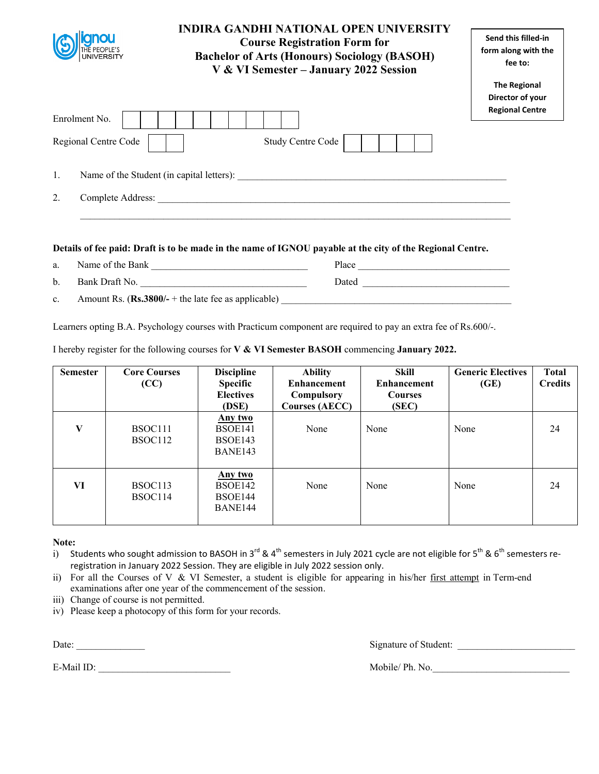|                                                 | <b>INDIRA GANDHI NATIONAL OPEN UNIVERSITY</b><br><b>Course Registration Form for</b><br><b>Bachelor of Arts (Honours) Sociology (BASOH)</b><br>V & VI Semester - January 2022 Session | Send this filled-in<br>form along with the<br>fee to:             |
|-------------------------------------------------|---------------------------------------------------------------------------------------------------------------------------------------------------------------------------------------|-------------------------------------------------------------------|
|                                                 |                                                                                                                                                                                       | <b>The Regional</b><br>Director of your<br><b>Regional Centre</b> |
| Enrolment No.                                   |                                                                                                                                                                                       |                                                                   |
| Regional Centre Code                            | <b>Study Centre Code</b>                                                                                                                                                              |                                                                   |
| Name of the Student (in capital letters):<br>1. |                                                                                                                                                                                       |                                                                   |
| 2.<br>Complete Address:                         |                                                                                                                                                                                       |                                                                   |
|                                                 |                                                                                                                                                                                       |                                                                   |

a. Name of the Bank \_\_\_\_\_\_\_\_\_\_\_\_\_\_\_\_\_\_\_\_\_\_\_\_\_\_\_\_\_\_\_\_ Place \_\_\_\_\_\_\_\_\_\_\_\_\_\_\_\_\_\_\_\_\_\_\_\_\_\_\_\_\_\_\_ b. Bank Draft No. \_\_\_\_\_\_\_\_\_\_\_\_\_\_\_\_\_\_\_\_\_\_\_\_\_\_\_\_\_\_\_\_\_\_ Dated \_\_\_\_\_\_\_\_\_\_\_\_\_\_\_\_\_\_\_\_\_\_\_\_\_\_\_\_\_\_ c. Amount Rs. (**Rs.3800/-** + the late fee as applicable)

Learners opting B.A. Psychology courses with Practicum component are required to pay an extra fee of Rs.600/-.

I hereby register for the following courses for **V & VI Semester BASOH** commencing **January 2022.** 

| <b>Semester</b> | <b>Core Courses</b><br>(CC) | <b>Discipline</b><br>Specific<br><b>Electives</b><br>(DSE) | <b>Ability</b><br><b>Enhancement</b><br>Compulsory<br><b>Courses (AECC)</b> | <b>Skill</b><br><b>Enhancement</b><br><b>Courses</b><br>(SEC) | <b>Generic Electives</b><br>(GE) | <b>Total</b><br><b>Credits</b> |
|-----------------|-----------------------------|------------------------------------------------------------|-----------------------------------------------------------------------------|---------------------------------------------------------------|----------------------------------|--------------------------------|
| V               | BSOC111<br>BSOC112          | Any two<br>BSOE141<br>BSOE143<br>BANE143                   | None                                                                        | None                                                          | None                             | 24                             |
| VI              | BSOC113<br>BSOC114          | Any two<br>BSOE142<br>BSOE144<br>BANE144                   | None                                                                        | None                                                          | None                             | 24                             |

**Note:** 

- i) Students who sought admission to BASOH in 3<sup>rd</sup> & 4<sup>th</sup> semesters in July 2021 cycle are not eligible for 5<sup>th</sup> & 6<sup>th</sup> semesters reregistration in January 2022 Session. They are eligible in July 2022 session only.
- ii) For all the Courses of V & VI Semester, a student is eligible for appearing in his/her first attempt in Term-end examinations after one year of the commencement of the session.
- iii) Change of course is not permitted.
- iv) Please keep a photocopy of this form for your records.

E-Mail ID: The Mobile/ Ph. No.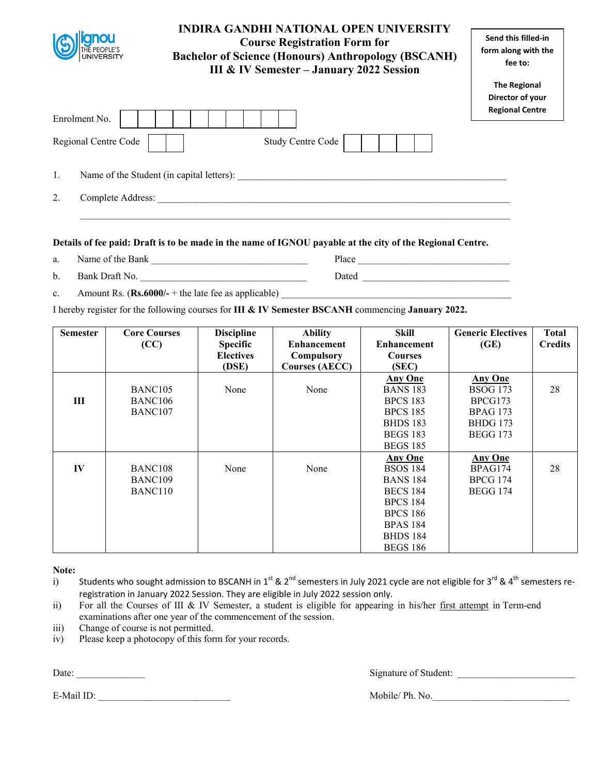|          | <b>INDIRA GANDHI NATIONAL OPEN UNIVERSITY</b><br><b>Course Registration Form for</b><br><b>Bachelor of Science (Honours) Anthropology (BSCANH)</b><br>UNIVERSITY<br>III & IV Semester - January 2022 Session | Send this filled-in<br>form along with the<br>fee to:             |
|----------|--------------------------------------------------------------------------------------------------------------------------------------------------------------------------------------------------------------|-------------------------------------------------------------------|
|          | Enrolment No.<br><b>Study Centre Code</b><br>Regional Centre Code                                                                                                                                            | <b>The Regional</b><br>Director of your<br><b>Regional Centre</b> |
| 1.<br>2. | Name of the Student (in capital letters):<br>Complete Address:                                                                                                                                               |                                                                   |

- a. Name of the Bank **Nume is a set of the Bank**  $\frac{1}{2}$  Place <u>Number of the Bank</u>
- b. Bank Draft No. 2008 and Draft No. 2018 and Dated 2018 and Dated 2018 and Dated 2018 and Dated 2018 and Dated 2018 and Dated 2018 and Dated 2018 and Dated 2018 and Dated 2018 and Dated 2018 and Dated 2018 and Dated 2018
- c. Amount Rs.  $(Rs.6000/- +$  the late fee as applicable)

I hereby register for the following courses for **III & IV Semester BSCANH** commencing **January 2022.** 

| <b>Semester</b> | <b>Core Courses</b> | <b>Discipline</b> | <b>Ability</b>        | <b>Skill</b>       | <b>Generic Electives</b> | <b>Total</b>   |
|-----------------|---------------------|-------------------|-----------------------|--------------------|--------------------------|----------------|
|                 | (CC)                | <b>Specific</b>   | <b>Enhancement</b>    | <b>Enhancement</b> | (GE)                     | <b>Credits</b> |
|                 |                     | <b>Electives</b>  | Compulsory            | <b>Courses</b>     |                          |                |
|                 |                     | (DSE)             | <b>Courses (AECC)</b> | (SEC)              |                          |                |
|                 |                     |                   |                       | <b>Any One</b>     | <b>Any One</b>           |                |
|                 | BANC <sub>105</sub> | None              | None                  | <b>BANS 183</b>    | <b>BSOG 173</b>          | 28             |
| Ш               | BANC <sub>106</sub> |                   |                       | <b>BPCS 183</b>    | BPCG173                  |                |
|                 | BANC <sub>107</sub> |                   |                       | <b>BPCS 185</b>    | <b>BPAG 173</b>          |                |
|                 |                     |                   |                       | <b>BHDS 183</b>    | <b>BHDG</b> 173          |                |
|                 |                     |                   |                       | <b>BEGS 183</b>    | <b>BEGG 173</b>          |                |
|                 |                     |                   |                       | <b>BEGS 185</b>    |                          |                |
|                 |                     |                   |                       | <b>Any One</b>     | <b>Any One</b>           |                |
| IV              | BANC <sub>108</sub> | None              | None                  | <b>BSOS 184</b>    | BPAG174                  | 28             |
|                 | BANC <sub>109</sub> |                   |                       | <b>BANS 184</b>    | <b>BPCG 174</b>          |                |
|                 | BANC <sub>110</sub> |                   |                       | <b>BECS 184</b>    | <b>BEGG 174</b>          |                |
|                 |                     |                   |                       | <b>BPCS 184</b>    |                          |                |
|                 |                     |                   |                       | <b>BPCS 186</b>    |                          |                |
|                 |                     |                   |                       | <b>BPAS 184</b>    |                          |                |
|                 |                     |                   |                       | <b>BHDS 184</b>    |                          |                |
|                 |                     |                   |                       | <b>BEGS 186</b>    |                          |                |

**Note:** 

- i) Students who sought admission to BSCANH in 1st & 2<sup>nd</sup> semesters in July 2021 cycle are not eligible for 3<sup>rd</sup> & 4<sup>th</sup> semesters reregistration in January 2022 Session. They are eligible in July 2022 session only.
- ii) For all the Courses of III & IV Semester, a student is eligible for appearing in his/her first attempt in Term-end examinations after one year of the commencement of the session.
- iii) Change of course is not permitted.
- iv) Please keep a photocopy of this form for your records.

E-Mail ID: Mobile/ Ph. No.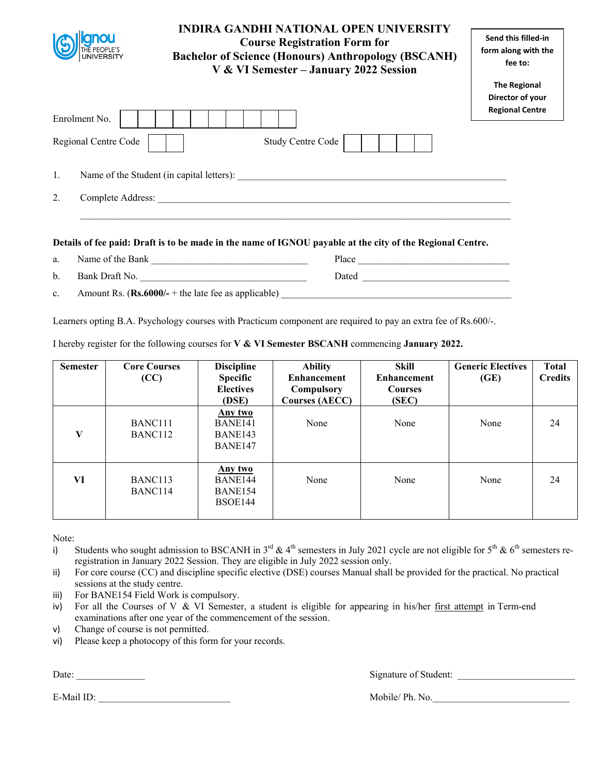| <b>UNIVERSITY</b>       | <b>INDIRA GANDHI NATIONAL OPEN UNIVERSITY</b><br><b>Course Registration Form for</b><br><b>Bachelor of Science (Honours) Anthropology (BSCANH)</b><br>V & VI Semester - January 2022 Session | Send this filled-in<br>form along with the<br>fee to:             |
|-------------------------|----------------------------------------------------------------------------------------------------------------------------------------------------------------------------------------------|-------------------------------------------------------------------|
| Enrolment No.           |                                                                                                                                                                                              | <b>The Regional</b><br>Director of your<br><b>Regional Centre</b> |
| Regional Centre Code    | Study Centre Code                                                                                                                                                                            |                                                                   |
| 1.                      | Name of the Student (in capital letters):                                                                                                                                                    |                                                                   |
| 2.<br>Complete Address: |                                                                                                                                                                                              |                                                                   |
|                         | Datalla af fao naid. Duaft is to ha mada in the name af ICNOII namelda at the aity of the Dagianal Cantus                                                                                    |                                                                   |

a. Name of the Bank **Definition** Place **Place Place Place Place Place Place Place Place Place Place Place Place Place Place Place Place Place Place Place Place Place Place Place** b. Bank Draft No. 2008 and Draft No. 2018 and Dated 2018 and Dated 2018 and Dated 2018 and Dated 2018 and Dated 2018 and Dated 2018 and Dated 2018 and Dated 2018 and Dated 2018 and Dated 2018 and Dated 2018 and Dated 2018 c. Amount Rs. (Rs.6000/- + the late fee as applicable)

Learners opting B.A. Psychology courses with Practicum component are required to pay an extra fee of Rs.600/-.

I hereby register for the following courses for **V & VI Semester BSCANH** commencing **January 2022.** 

| <b>Semester</b> | <b>Core Courses</b><br>(CC)                | <b>Discipline</b><br><b>Specific</b><br><b>Electives</b><br>(DSE) | <b>Ability</b><br><b>Enhancement</b><br>Compulsory<br><b>Courses (AECC)</b> | Skill<br><b>Enhancement</b><br><b>Courses</b><br>(SEC) | <b>Generic Electives</b><br>(GE) | <b>Total</b><br><b>Credits</b> |
|-----------------|--------------------------------------------|-------------------------------------------------------------------|-----------------------------------------------------------------------------|--------------------------------------------------------|----------------------------------|--------------------------------|
| V               | BANC <sub>111</sub><br>BANC <sub>112</sub> | Any two<br>BANE141<br>BANE143<br>BANE147                          | None                                                                        | None                                                   | None                             | 24                             |
| VI              | BANC <sub>113</sub><br>BANC114             | Any two<br>BANE144<br>BANE154<br>BSOE144                          | None                                                                        | None                                                   | None                             | 24                             |

Note:

- i) Students who sought admission to BSCANH in  $3^{rd}$  & 4<sup>th</sup> semesters in July 2021 cycle are not eligible for  $5^{th}$  &  $6^{th}$  semesters reregistration in January 2022 Session. They are eligible in July 2022 session only.
- ii) For core course (CC) and discipline specific elective (DSE) courses Manual shall be provided for the practical. No practical sessions at the study centre.
- iii) For BANE154 Field Work is compulsory.
- iv) For all the Courses of V & VI Semester, a student is eligible for appearing in his/her first attempt in Term-end examinations after one year of the commencement of the session.
- v) Change of course is not permitted.
- vi) Please keep a photocopy of this form for your records.

E-Mail ID: \_\_\_\_\_\_\_\_\_\_\_\_\_\_\_\_\_\_\_\_\_\_\_\_\_\_\_ Mobile/ Ph. No.\_\_\_\_\_\_\_\_\_\_\_\_\_\_\_\_\_\_\_\_\_\_\_\_\_\_\_\_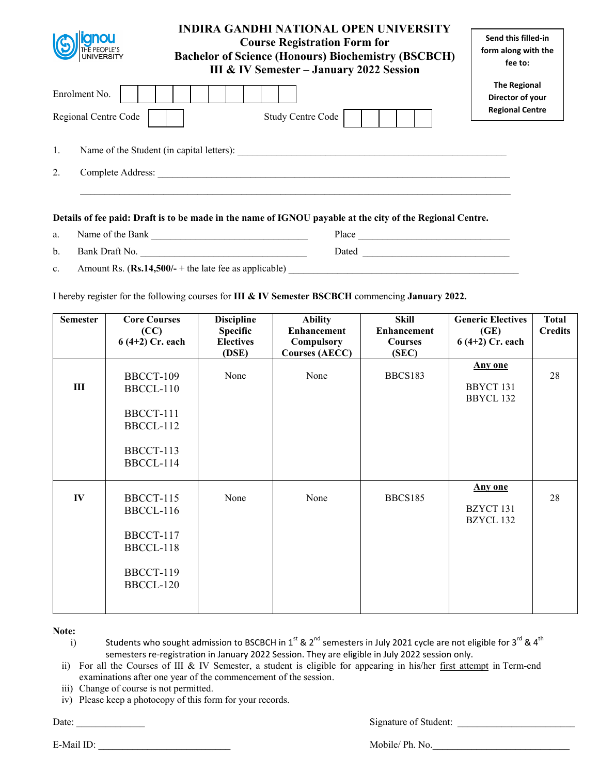|    |                                       | INDIRA GANDHI NATIONAL OPEN UNIVERSITY<br><b>Course Registration Form for</b><br><b>Bachelor of Science (Honours) Biochemistry (BSCBCH)</b><br><b>III &amp; IV Semester - January 2022 Session</b> | Send this filled-in<br>form along with the<br>fee to:             |
|----|---------------------------------------|----------------------------------------------------------------------------------------------------------------------------------------------------------------------------------------------------|-------------------------------------------------------------------|
|    | Enrolment No.<br>Regional Centre Code | <b>Study Centre Code</b>                                                                                                                                                                           | <b>The Regional</b><br>Director of your<br><b>Regional Centre</b> |
| 1. |                                       | Name of the Student (in capital letters):                                                                                                                                                          |                                                                   |
| 2. | Complete Address:                     |                                                                                                                                                                                                    |                                                                   |
|    |                                       |                                                                                                                                                                                                    |                                                                   |

| a.             | Name of the Bank                                       | Place |  |
|----------------|--------------------------------------------------------|-------|--|
| $\mathbf{b}$ . | Bank Draft No.                                         | Dated |  |
| $c_{\cdot}$    | Amount Rs. $(Rs.14,500/+)$ the late fee as applicable) |       |  |

I hereby register for the following courses for **III & IV Semester BSCBCH** commencing **January 2022.** 

| <b>Semester</b> | <b>Core Courses</b><br>(CC)<br>$6(4+2)$ Cr. each                           | <b>Discipline</b><br><b>Specific</b><br><b>Electives</b><br>(DSE) | <b>Ability</b><br><b>Enhancement</b><br>Compulsory<br><b>Courses (AECC)</b> | Skill<br><b>Enhancement</b><br><b>Courses</b><br>(SEC) | <b>Generic Electives</b><br>(GE)<br>$6(4+2)$ Cr. each | <b>Total</b><br><b>Credits</b> |
|-----------------|----------------------------------------------------------------------------|-------------------------------------------------------------------|-----------------------------------------------------------------------------|--------------------------------------------------------|-------------------------------------------------------|--------------------------------|
| III             | BBCCT-109<br>BBCCL-110<br>BBCCT-111<br>BBCCL-112<br>BBCCT-113<br>BBCCL-114 | None                                                              | None                                                                        | BBCS183                                                | <b>Any one</b><br>BBYCT 131<br>BBYCL 132              | 28                             |
| IV              | BBCCT-115<br>BBCCL-116<br>BBCCT-117<br>BBCCL-118<br>BBCCT-119<br>BBCCL-120 | None                                                              | None                                                                        | BBCS185                                                | <b>Any one</b><br>BZYCT 131<br>BZYCL 132              | 28                             |

**Note:** 

i) Students who sought admission to BSCBCH in 1<sup>st</sup> & 2<sup>nd</sup> semesters in July 2021 cycle are not eligible for 3<sup>rd</sup> & 4<sup>th</sup> semesters re-registration in January 2022 Session. They are eligible in July 2022 session only.

ii) For all the Courses of III & IV Semester, a student is eligible for appearing in his/her first attempt in Term-end examinations after one year of the commencement of the session.

iii) Change of course is not permitted.

iv) Please keep a photocopy of this form for your records.

Date: \_\_\_\_\_\_\_\_\_\_\_\_\_\_ Signature of Student: \_\_\_\_\_\_\_\_\_\_\_\_\_\_\_\_\_\_\_\_\_\_\_\_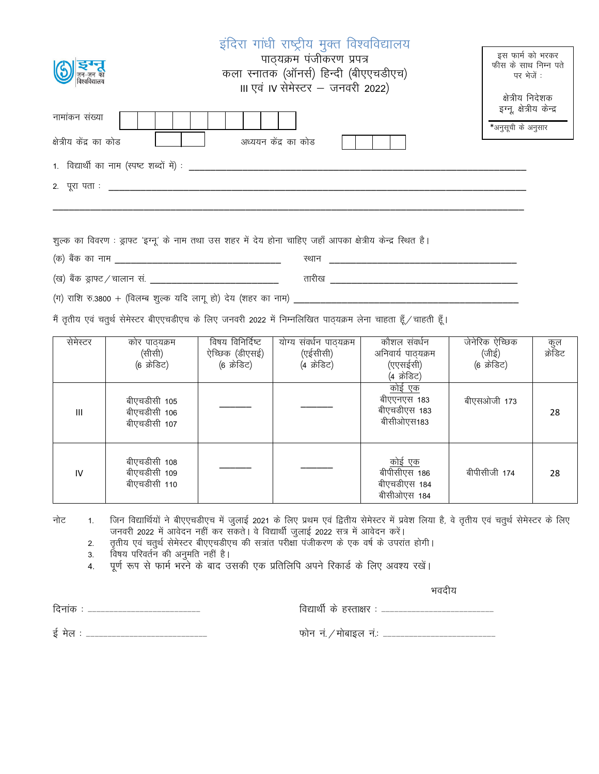|                                                                                         | इंदिरा गांधी राष्ट्रीय मुक्त विश्वविद्यालय<br>पाठ्यक्रम पंजीकरण प्रपत्र<br>कला स्नातक (ऑनर्स) हिन्दी (बीएएचडीएच)<br>III एवं IV सेमेस्टर - जनवरी 2022) | इस फार्म को भरकर<br>फीस के साथ निम्न पते<br>पर भेजें :<br>क्षेत्रीय निदेशक |
|-----------------------------------------------------------------------------------------|-------------------------------------------------------------------------------------------------------------------------------------------------------|----------------------------------------------------------------------------|
| नामांकन संख्या<br>क्षेत्रीय केंद्र का कोड<br>1. विद्यार्थी का नाम (स्पष्ट शब्दों में) : | अध्ययन केंद्र का कोड                                                                                                                                  | इग्नू, क्षेत्रीय केन्द्र<br>*अनुसूची के अनुसार                             |
| 2. पूरा पता : <u>______</u> ___                                                         | शुल्क का विवरण : ड्राफ्ट 'इग्नू' के नाम तथा उस शहर में देय होना चाहिए जहाँ आपका क्षेत्रीय केन्द्र स्थित है।                                           |                                                                            |

(ग) राशि रु.3800 + (विलम्ब शुल्क यदि लागू हो) देय (शहर का नाम)

मैं तृतीय एवं चतुर्थ सेमेस्टर बीएएचडीएच के लिए जनवरी 2022 में निम्नलिखित पाठ्यक्रम लेना चाहता हूँ / चाहती हूँ।

¼d½ cSad dk uke \_\_\_\_\_\_\_\_\_\_\_\_\_\_\_\_\_\_\_\_\_\_\_\_\_\_\_\_\_\_\_ LFkku \_\_\_\_\_\_\_\_\_\_\_\_\_\_\_\_\_\_\_\_\_\_\_\_\_\_\_\_\_\_\_\_\_\_\_ ¼[k½ cSad Mªk¶V@pkyku la- \_\_\_\_\_\_\_\_\_\_\_\_\_\_\_\_\_\_\_\_\_\_\_\_ rkjh[k \_\_\_\_\_\_\_\_\_\_\_\_\_\_\_\_\_\_\_\_\_\_\_\_\_\_\_\_\_\_\_\_\_\_\_

| सेमेस्टर | कोर पाठयक्रम<br>(सीसी)<br>(6 क्रेडिट)        | विषय विनिर्दिष्ट<br>ऐच्छिक (डीएसई)<br>(6 क्रेडिट) | योग्य संवर्धन पाठ्यक्रम<br>(एईसीसी)<br>(4 क्रेडिट) | कौशल संवर्धन<br>अनिवार्य पाठ्यक्रम<br>(एएसईसी)<br>(4 क्रेडिट) | जेनेरिक ऐच्छिक<br>(जीई)<br>(6 क्रेडिट) | कुल<br>क्रेडिट |
|----------|----------------------------------------------|---------------------------------------------------|----------------------------------------------------|---------------------------------------------------------------|----------------------------------------|----------------|
| Ш        | बीएचडीसी 105<br>बीएचडीसी 106<br>बीएचडीसी 107 |                                                   |                                                    | <u>कोई एक</u><br>बीएएनएस 183<br>बीएचडीएस 183<br>बीसीओएस183    | बीएसओजी 173                            | 28             |
| IV       | बीएचडीसी 108<br>बीएचडीसी 109<br>बीएचडीसी 110 |                                                   |                                                    | <u>कोई एक</u><br>बीपीसीएस 186<br>बीएचडीएस 184<br>बीसीओएस 184  | बीपीसीजी 174                           | 28             |

नोट 1. जिन विद्यार्थियों ने बीएएचडीएच में जुलाई 2021 के लिए प्रथम एवं द्वितीय सेमेस्टर में प्रवेश लिया है, वे तृतीय एवं चतुर्थ सेमेस्टर के लिए जनवरी 2022 में आवेदन नहीं कर सकते। वे विद्यार्थी जुलाई 2022 सत्र में आवेदन करें।

2. तृतीय एवं चतुर्थ सेमेस्टर बीएएचडीएच की सत्रांत परीक्षा पंजीकरण के एक वर्ष के उपरांत होगी।

3. विषय परिवर्तन की अनुमति नहीं है।

- .<br>4. पूर्ण रूप से फार्म भरने के बाद उसकी एक प्रतिलिपि अपने रिकार्ड के लिए अवश्य रखें।

भवदीय

fnukad % &&&&&&&&&&&&&&&&&&&&&&&&&& fo|kFkhZ ds gLrk{kj % &&&&&&&&&&&&&&&&&&&&&&&&&& bZ esy % &&&&&&&&&&&&&&&&&&&&&&&&&&&& Qksu ua-@eksckby ua-% &&&&&&&&&&&&&&&&&&&&&&&&&&